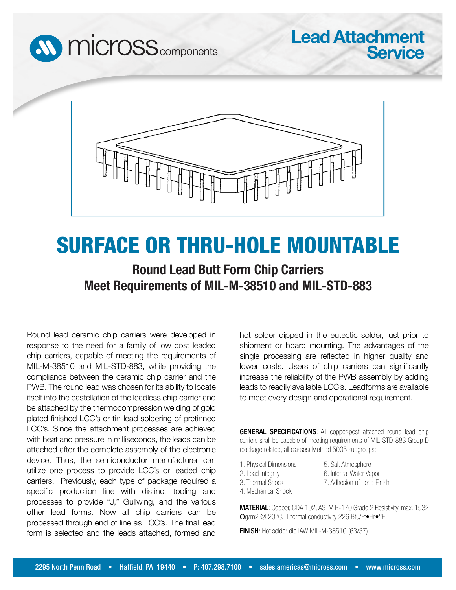



# SURFACE OR THRU-HOLE MOUNTABLE

## **Round Lead Butt Form Chip Carriers Meet Requirements of MIL-M-38510 and MIL-STD-883**

Round lead ceramic chip carriers were developed in response to the need for a family of low cost leaded chip carriers, capable of meeting the requirements of MIL-M-38510 and MIL-STD-883, while providing the compliance between the ceramic chip carrier and the PWB. The round lead was chosen for its ability to locate itself into the castellation of the leadless chip carrier and be attached by the thermocompression welding of gold plated finished LCC's or tin-lead soldering of pretinned LCC's. Since the attachment processes are achieved with heat and pressure in milliseconds, the leads can be attached after the complete assembly of the electronic device. Thus, the semiconductor manufacturer can utilize one process to provide LCC's or leaded chip carriers. Previously, each type of package required a specific production line with distinct tooling and processes to provide "J," Gullwing, and the various other lead forms. Now all chip carriers can be processed through end of line as LCC's. The final lead form is selected and the leads attached, formed and hot solder dipped in the eutectic solder, just prior to shipment or board mounting. The advantages of the single processing are reflected in higher quality and lower costs. Users of chip carriers can significantly increase the reliability of the PWB assembly by adding leads to readily available LCC's. Leadforms are available to meet every design and operational requirement.

**Lead Attachment**

**Service**

GENERAL SPECIFICATIONS: All copper-post attached round lead chip carriers shall be capable of meeting requirements of MIL-STD-883 Group D (package related, all classes) Method 5005 subgroups:

1. Physical Dimensions 2. Lead Integrity

5. Salt Atmosphere 6. Internal Water Vapor 7. Adhesion of Lead Finish

- 3. Thermal Shock
- 4. Mechanical Shock

MATERIAL: Copper, CDA 102, ASTM B-170 Grade 2 Resistivity, max. 1532 Ωg/m2 @ 20°C. Thermal conductivity 226 Btu/Ft•Hr•°F

FINISH: Hot solder dip IAW MIL-M-38510 (63/37)